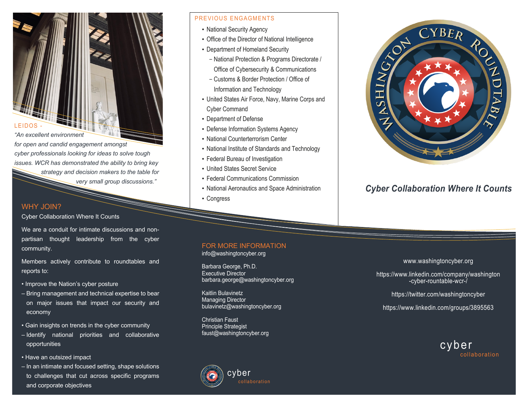

*"An excellent environment* 

*for open and candid engagement amongst cyber professionals looking for ideas to solve tough issues. WCR has demonstrated the ability to bring key strategy and decision makers to the table for very small group discussions."*

### WHY JOIN?

Cyber Collaboration Where It Counts

We are a conduit for intimate discussions and nonpartisan thought leadership from the cyber community.

Members actively contribute to roundtables and reports to:

- Improve the Nation's cyber posture
- Bring management and technical expertise to bear on major issues that impact our security and economy
- Gain insights on trends in the cyber community
- Identify national priorities and collaborative opportunities
- Have an outsized impact
- In an intimate and focused setting, shape solutions to challenges that cut across specific programs and corporate objectives

### PREVIOUS ENGAGMENTS

- National Security Agency
- Office of the Director of National Intelligence
- Department of Homeland Security
	- National Protection & Programs Directorate / Office of Cybersecurity & Communications
	- Customs & Border Protection / Office of Information and Technology
- United States Air Force, Navy, Marine Corps and Cyber Command
- Department of Defense
- Defense Information Systems Agency
- National Counterterrorism Center
- National Institute of Standards and Technology
- Federal Bureau of Investigation
- United States Secret Service
- Federal Communications Commission
- National Aeronautics and Space Administration
- Congress

### FOR MORE INFORMATION

info@washingtoncyber.org

Barbara George, Ph.D. Executive Director barbara.george@washingtoncyber.org

Kaitlin Bulavinetz Managing Director bulavinetz@washingtoncyber.org

Christian Faust Principle Strategist faust@washingtoncyber.org





## *Cyber Collaboration Where It Counts*

#### www.washingtoncyber.org

https://www.linkedin.com/company/washington -cyber-rountable-wcr-/

https://twitter.com/washingtoncyber

https://www.linkedin.com/groups/3895563